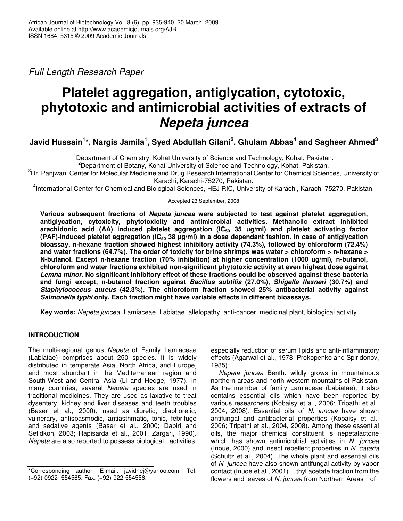*Full Length Research Paper*

# **Platelet aggregation, antiglycation, cytotoxic, phytotoxic and antimicrobial activities of extracts of** *Nepeta juncea*

## Javid Hussain $^{\sf 1\star}$ , Nargis Jamila $^{\sf 1}$ , Syed Abdullah Gilani $^{\sf 2}$ , Ghulam Abbas $^{\sf 4}$  and Sagheer Ahmed $^{\sf 3}$

<sup>1</sup>Department of Chemistry, Kohat University of Science and Technology, Kohat, Pakistan.

<sup>2</sup>Department of Botany, Kohat University of Science and Technology, Kohat, Pakistan.

 ${}^{3}$ Dr. Panjwani Center for Molecular Medicine and Drug Research International Center for Chemical Sciences, University of Karachi, Karachi-75270, Pakistan.

4 International Center for Chemical and Biological Sciences, HEJ RIC, University of Karachi, Karachi-75270, Pakistan.

Accepted 23 September, 2008

**Various subsequent fractions of** *Nepeta juncea* **were subjected to test against platelet aggregation, antiglycation, cytoxicity, phytotoxicity and antimicrobial activities. Methanolic extract inhibited arachidonic acid (AA) induced platelet aggregation (IC<sup>50</sup> 35 ug/ml) and platelet activating factor (PAF)-induced platelet aggregation (IC<sup>50</sup> 38 µg/ml) in a dose dependant fashion. In case of antiglycation bioassay, n-hexane fraction showed highest inhibitory activity (74.3%), followed by chloroform (72.4%)** and water fractions (64.7%). The order of toxicity for brine shrimps was water > chloroform > n-hexane > **N-butanol. Except n-hexane fraction (70% inhibition) at higher concentration (1000 ug/ml), n-butanol, chloroform and water fractions exhibited non-significant phytotoxic activity at even highest dose against** *Lemna minor***. No significant inhibitory effect of these fractions could be observed against these bacteria and fungi except, n-butanol fraction against** *Bacillus subtilis* **(27.0%),** *Shigella flexneri* **(30.7%) and** *Staphylococcus aureus* **(42.3%). The chloroform fraction showed 25% antibacterial activity against** *Salmonella typhi* **only. Each fraction might have variable effects in different bioassays.**

**Key words:** *Nepeta juncea*, Lamiaceae, Labiatae, allelopathy, anti-cancer, medicinal plant, biological activity

## **INTRODUCTION**

The multi-regional genus *Nepeta* of Family Lamiaceae (Labiatae) comprises about 250 species. It is widely distributed in temperate Asia, North Africa, and Europe, and most abundant in the Mediterranean region and South-West and Central Asia (Li and Hedge, 1977). In many countries, several *Nepeta* species are used in traditional medicines. They are used as laxative to treat dysentery, kidney and liver diseases and teeth troubles (Baser et al., 2000); used as diuretic, diaphoretic, vulnerary, antispasmodic, antiasthmatic, tonic, febrifuge and sedative agents (Baser et al., 2000; Dabiri and Sefidkon, 2003; Rapisarda et al., 2001; Zargari, 1990). *Nepeta* are also reported to possess biological activities

especially reduction of serum lipids and anti-inflammatory effects (Agarwal et al., 1978; Prokopenko and Spiridonov, 1985).

*Nepeta juncea* Benth. wildly grows in mountainous northern areas and north western mountains of Pakistan. As the member of family Lamiaceae (Labiatae), it also contains essential oils which have been reported by various researchers (Kobaisy et al., 2006; Tripathi et al., 2004, 2008). Essential oils of *N. juncea* have shown antifungal and antibacterial properties (Kobaisy et al., 2006; Tripathi et al., 2004, 2008). Among these essential oils, the major chemical constituent is nepetalactone which has shown antimicrobial activities in *N. juncea* (Inoue, 2000) and insect repellent properties in *N. cataria* (Schultz et al., 2004). The whole plant and essential oils of *N. juncea* have also shown antifungal activity by vapor contact (Inuoe et al., 2001). Ethyl acetate fraction from the flowers and leaves of *N. juncea* from Northern Areas of

<sup>\*</sup>Corresponding author. E-mail: javidhej@yahoo.com. Tel: (+92)-0922- 554565. Fax: (+92)-922-554556.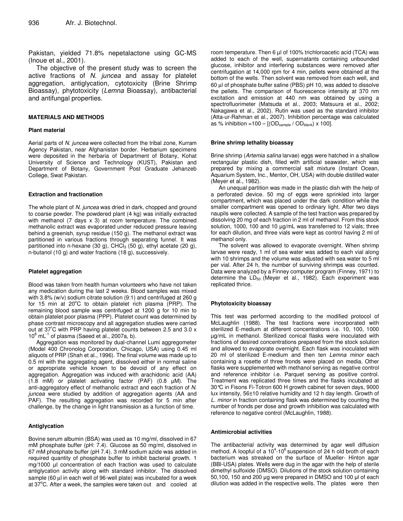Pakistan, yielded 71.8% nepetalactone using GC-MS (Inoue et al., 2001).

The objective of the present study was to screen the active fractions of *N. juncea* and assay for platelet aggregation, antiglycation, cytotoxicity (Brine Shrimp Bioassay), phytotoxicity (*Lemna* Bioassay), antibacterial and antifungal properties.

#### **MATERIALS AND METHODS**

#### **Plant material**

Aerial parts of *N. juncea* were collected from the tribal zone, Kurram Agency Pakistan, near Afghanistan border. Herbarium specimens were deposited in the herbaria of Department of Botany, Kohat University of Science and Technology (KUST), Pakistan and Department of Botany, Government Post Graduate Jehanzeb College, Swat Pakistan.

#### **Extraction and fractionation**

The whole plant of *N. juncea* was dried in dark, chopped and ground to coarse powder. The powdered plant (4 kg) was initially extracted with methanol (7 days x 3) at room temperature. The combined methanolic extract was evaporated under reduced pressure leaving behind a greenish, syrup residue (150 g). The methanol extract was partitioned in various fractions through separating funnel. It was partitioned into n-hexane (30 g), CHCl $_3$  (50 g), ethyl acetate (20 g), n-butanol (10 g) and water fractions (18 g), successively.

#### **Platelet aggregation**

Blood was taken from health human volunteers who have not taken any medication during the last 2 weeks. Blood samples was mixed with 3.8% (w/v) sodium citrate solution (9:1) and centrifuged at 260 g for 15 min at 20°C to obtain platelet rich plasma (PRP). The remaining blood sample was centrifuged at 1200 g for 10 min to obtain platelet poor plasma (PPP). Platelet count was determined by phase contrast microscopy and all aggregation studies were carried out at 37 <sup>º</sup>C with PRP having platelet counts between 2.5 and 3.0 x 10<sup>8</sup> mL<sup>-1</sup> of plasma (Saeed et al., 2007a, b).

Aggregation was monitored by dual-channel Lumi aggregometer (Model 400 Chronolog Corporation, Chicago, USA) using 0.45 ml aliquots of PRP (Shah et al., 1996). The final volume was made up to 0.5 ml with the aggregating agent, dissolved either in normal saline or appropriate vehicle known to be devoid of any effect on aggregation. Aggregation was induced with arachidonic acid (AA) (1.8 mM) or platelet activating factor (PAF) (0.8  $\mu$ M). The anti-aggregatory effect of methanolic extract and each fraction of *N. juncea* were studied by addition of aggregation agents (AA and PAF). The resulting aggregation was recorded for 5 min after challenge, by the change in light transmission as a function of time.

#### **Antiglycation**

Bovine serum albumin (BSA) was used as 10 mg/ml, dissolved in 67 mM phosphate buffer (pH: 7.4). Glucose as 50 mg/ml, dissolved in 67 mM phosphate buffer (pH 7.4). 3 mM sodium azide was added in required quantity of phosphate buffer to inhibit bacterial growth. 1 mg/1000 µl concentration of each fraction was used to calculate antiglycation activity along with standard inhibitor. The dissolved sample (60 µl in each well of 96-well plate) was incubated for a week at 37°C. After a week, the samples were taken out and cooled at

room temperature. Then 6 µl of 100% trichloroacetic acid (TCA) was added to each of the well, supernatants containing unbounded glucose, inhibitor and interfering substances were removed after centrifugation at 14,000 rpm for 4 min, pellets were obtained at the bottom of the wells. Then solvent was removed from each well, and 60 µl of phosphate buffer saline (PBS) pH 10, was added to dissolve the pellets. The comparison of fluorescence intensity at 370 nm excitation and emission at 440 nm was obtained by using a spectrofluorimeter (Matsuda et al., 2003; Matsuura et al., 2002; Nakagawa et al., 2002). Rutin was used as the standard inhibitor (Atta-ur-Rahman et al., 2007). Inhibition percentage was calculated as % inhibition =100 –  $[(OD_{sample} / OD_{blank}) \times 100]$ .

#### **Brine shrimp lethality bioassay**

Brine shrimp (*Artemia salina* larvae) eggs were hatched in a shallow rectangular plastic dish, filled with artificial seawater, which was prepared by mixing a commercial salt mixture (Instant Ocean, Aquarium System, Inc., Mentor, OH, USA) with double distilled water (Meyer et al., 1982).

An unequal partition was made in the plastic dish with the help of a perforated device. 50 mg of eggs were sprinkled into larger compartment, which was placed under the dark condition while the smaller compartment was opened to ordinary light. After two days naupils were collected. A sample of the test fraction was prepared by dissolving 20 mg of each fraction in 2 ml of methanol. From this stock solution, 1000, 100 and 10 µg/mL was transferred to 12 vials; three for each dilution, and three vials were kept as control having 2 ml of methanol only.

The solvent was allowed to evaporate overnight. When shrimp larvae were ready, 1 ml of sea water was added to each vial along with 10 shrimps and the volume was adjusted with sea water to 5 ml per vial. After 24 h, the number of surviving shrimps was counted. Data were analyzed by a Finney computer program (Finney, 1971) to determine the  $LD_{50}$  (Meyer et al., 1982). Each experiment was replicated thrice.

#### **Phytotoxicity bioassay**

This test was performed according to the modified protocol of McLaughlin (1988). The test fractions were incorporated with sterilized E-medium at different concentrations i.e. 10, 100, 1000 µg/mL in methanol. Sterilized conical flasks were inoculated with fractions of desired concentrations prepared from the stock solution and allowed to evaporate overnight. Each flask was inoculated with 20 ml of sterilized E-medium and then ten *Lemna minor* each containing a rosette of three fronds were placed on media. Other flasks were supplemented with methanol serving as negative control and reference inhibitor i.e. Parquet serving as positive control. Treatment was replicated three times and the flasks incubated at 30°C in Fisons Fi-Totron 600 H growth cabinet for seven days, 9000 lux intensity, 56±10 relative humidity and 12 h day length. Growth of *L. minor* in fraction containing flask was determined by counting the number of fronds per dose and growth inhibition was calculated with reference to negative control (McLaughlin*,* 1988).

#### **Antimicrobial activities**

The antibacterial activity was determined by agar well diffusion method. A loopful of a  $10^4$ -10 $^6$  suspension of 24 h old broth of each bacterium was streaked on the surface of Mueller- Hinton agar (BBl-USA) plates. Wells were dug in the agar with the help of sterile dimethyl sulfoxide (DMSO). Dilutions of the stock solution containing  $50,100$ , 150 and 200 µg were prepared in DMSO and 100 µl of each dilution was added in the respective wells. The plates were then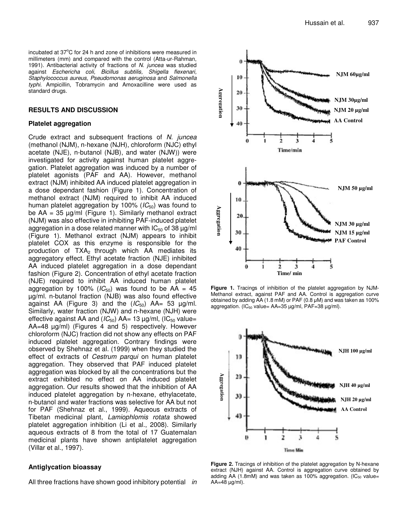incubated at 37°C for 24 h and zone of inhibitions were measured in millimeters (mm) and compared with the control (Atta-ur-Rahman, 1991). Antibacterial activity of fractions of *N. juncea* was studied against *Eschericha coli, Bicillus subtilis, Shigella flexenari, Staphylococcus aureus, Pseudomonas aeruginosa* and *Salmonella typhi.* Ampicillin, Tobramycin and Amoxacilline were used as standard drugs.

### **RESULTS AND DISCUSSION**

#### **Platelet aggregation**

Crude extract and subsequent fractions of *N. juncea* (methanol (NJM), n-hexane (NJH), chloroform (NJC) ethyl acetate (NJE), n-butanol (NJB), and water (NJW)) were investigated for activity against human platelet aggregation. Platelet aggregation was induced by a number of platelet agonists (PAF and AA). However, methanol extract (NJM) inhibited AA induced platelet aggregation in a dose dependant fashion (Figure 1). Concentration of methanol extract (NJM) required to inhibit AA induced human platelet aggregation by 100% (IC<sub>50</sub>) was found to be  $AA = 35 \mu g/ml$  (Figure 1). Similarly methanol extract (NJM) was also effective in inhibiting PAF-induced platelet aggregation in a dose related manner with  $IC_{50}$  of 38  $\mu$ g/ml (Figure 1). Methanol extract (NJM) appears to inhibit platelet COX as this enzyme is responsible for the production of  $TXA<sub>2</sub>$  through which AA mediates its aggregatory effect. Ethyl acetate fraction (NJE) inhibited AA induced platelet aggregation in a dose dependant fashion (Figure 2). Concentration of ethyl acetate fraction (NJE) required to inhibit AA induced human platelet aggregation by 100% ( $IC_{50}$ ) was found to be AA = 45 µg/ml. n-butanol fraction (NJB) was also found effective against AA (Figure 3) and the  $(IC_{50})$  AA= 53  $\mu$ g/ml. Similarly, water fraction (NJW) and n-hexane (NJH) were effective against AA and  $(IC_{50})$  AA= 13  $\mu$ g/ml,  $(IC_{50}$  value= AA=48 µg/ml) (Figures 4 and 5) respectively. However chloroform (NJC) fraction did not show any effects on PAF induced platelet aggregation. Contrary findings were observed by Shehnaz et al*.* (1999) when they studied the effect of extracts of *Cestrum parqui* on human platelet aggregation. They observed that PAF induced platelet aggregation was blocked by all the concentrations but the extract exhibited no effect on AA induced platelet aggregation. Our results showed that the inhibition of AA induced platelet aggregation by n-hexane, ethylacetate, n-butanol and water fractions was selective for AA but not for PAF (Shehnaz et al., 1999). Aqueous extracts of Tibetan medicinal plant, *Lamiophlomis rotata* showed platelet aggregation inhibition (Li et al., 2008). Similarly aqueous extracts of 8 from the total of 17 Guatemalan medicinal plants have shown antiplatelet aggregation (Villar et al., 1997).

#### **Antiglycation bioassay**

All three fractions have shown good inhibitory potential *in*



**Figure 1.** Tracings of inhibition of the platelet aggregation by NJM-Methanol extract, against PAF and AA. Control is aggregation curve obtained by adding  $\overline{AA}$  (1.8 mM) or PAF (0.8  $\mu$ M) and was taken as 100% aggregation. (IC $_{50}$  value= AA=35  $\mu$ g/ml, PAF=38  $\mu$ g/ml).



**Figure 2.** Tracings of inhibition of the platelet aggregation by N-hexane extract (NJH) against AA. Control is aggregation curve obtained by adding AA (1.8mM) and was taken as 100% aggregation.  $(IC_{50}$  value=  $AA=48 \mu g/ml$ .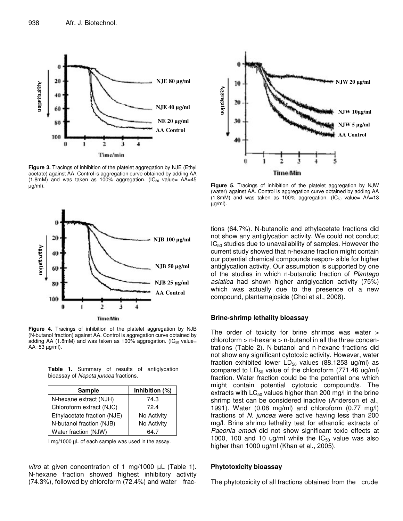

**Figure 3.** Tracings of inhibition of the platelet aggregation by NJE (Ethyl acetate) against AA. Control is aggregation curve obtained by adding AA (1.8mM) and was taken as 100% aggregation.  $(IC_{50}$  value= AA=45 µg/ml).



**Figure 4.** Tracings of inhibition of the platelet aggregation by NJB (N-butanol fraction) against AA. Control is aggregation curve obtained by adding AA (1.8mM) and was taken as 100% aggregation. ( $IC_{50}$  value=  $AA=53 \mu g/ml$ .

**Table 1.** Summary of results of antiglycation bioassay of *Nepeta juncea* fractions.

| <b>Sample</b>               | Inhibition (%) |  |  |  |
|-----------------------------|----------------|--|--|--|
| N-hexane extract (NJH)      | 74.3           |  |  |  |
| Chloroform extract (NJC)    | 72.4           |  |  |  |
| Ethylacetate fraction (NJE) | No Activity    |  |  |  |
| N-butanol fraction (NJB)    | No Activity    |  |  |  |
| Water fraction (NJW)        | 64.7           |  |  |  |

I mg/1000 µL of each sample was used in the assay.

*vitro* at given concentration of 1 mg/1000 µL (Table 1). N-hexane fraction showed highest inhibitory activity (74.3%), followed by chloroform (72.4%) and water frac-



**Figure 5.** Tracings of inhibition of the platelet aggregation by NJW (water) against AA. Control is aggregation curve obtained by adding AA  $(1.8 \text{m})$  and was taken as 100% aggregation.  $(IC_{50}$  value= AA=13 µg/ml).

tions (64.7%). N-butanolic and ethylacetate fractions did not show any antiglycation activity. We could not conduct  $IC_{50}$  studies due to unavailability of samples. However the current study showed that n-hexane fraction might contain our potential chemical compounds respon- sible for higher antiglycation activity. Our assumption is supported by one of the studies in which n-butanolic fraction of *Plantago asiatica* had shown higher antiglycation activity (75%) which was actually due to the presence of a new compound, plantamajoside (Choi et al., 2008).

#### **Brine-shrimp lethality bioassay**

The order of toxicity for brine shrimps was water > chloroform > n-hexane > n-butanol in all the three concentrations (Table 2). N-butanol and n-hexane fractions did not show any significant cytotoxic activity. However, water fraction exhibited lower  $LD_{50}$  values (88.1253 ug/ml) as compared to  $LD_{50}$  value of the chloroform (771.46 ug/ml) fraction. Water fraction could be the potential one which might contain potential cytotoxic compound/s. The extracts with  $LC_{50}$  values higher than 200 mg/l in the brine shrimp test can be considered inactive (Anderson et al., 1991). Water (0.08 mg/ml) and chloroform (0.77 mg/l) fractions of *N. juncea* were active having less than 200 mg/l. Brine shrimp lethality test for ethanolic extracts of *Paeonia emodi* did not show significant toxic effects at 1000, 100 and 10 ug/ml while the  $IC_{50}$  value was also higher than 1000 ug/ml (Khan et al., 2005).

#### **Phytotoxicity bioassay**

The phytotoxicity of all fractions obtained from the crude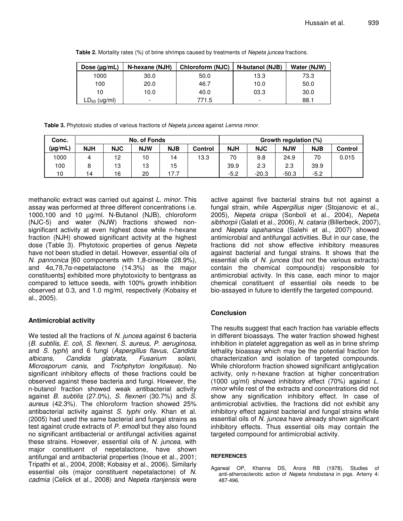| Table 2. Mortality rates (%) of brine shrimps caused by treatments of Nepeta juncea fractions. |  |
|------------------------------------------------------------------------------------------------|--|
|------------------------------------------------------------------------------------------------|--|

| Dose $(\mu g/mL)$ | N-hexane (NJH)           | Chloroform (NJC) | N-butanol (NJB) | Water (NJW) |
|-------------------|--------------------------|------------------|-----------------|-------------|
| 1000              | 30.0                     | 50.0             | 13.3            | 73.3        |
| 100               | 20.0                     | 46.7             | 10.0            | 50.0        |
| 10                | 10.0                     | 40.0             | 03.3            | 30.0        |
| $LD_{50}$ (ug/ml) | $\overline{\phantom{0}}$ | 771.5            |                 | 88.1        |

**Table 3.** Phytotoxic studies of various fractions of *Nepeta juncea* against *Lemna minor.*

| Conc.        | No. of Fonds |            |            |            |                | Growth regulation (%) |            |            |            |         |
|--------------|--------------|------------|------------|------------|----------------|-----------------------|------------|------------|------------|---------|
| $(\mu g/mL)$ | <b>NJH</b>   | <b>NJC</b> | <b>NJW</b> | <b>NJB</b> | <b>Control</b> | <b>NJH</b>            | <b>NJC</b> | <b>NJW</b> | <b>NJB</b> | Control |
| 1000         | 4            | 12         | 10         | 14         | 13.3           | 70                    | 9.8        | 24.9       | 70         | 0.015   |
| 100          |              | 13         | 13         | 15         |                | 39.9                  | 2.3        | 2.3        | 39.9       |         |
| 10           | 14           | 16         | 20         | 17.7       |                | $-5.2$                | $-20.3$    | $-50.3$    | $-5.2$     |         |

methanolic extract was carried out against *L. minor*. This assay was performed at three different concentrations i.e. 1000,100 and 10 µg/ml. N-Butanol (NJB), chloroform (NJC-5) and water (NJW) fractions showed nonsignificant activity at even highest dose while n-hexane fraction (NJH) showed significant activity at the highest dose (Table 3). Phytotoxic properties of genus *Nepeta* have not been studied in detail. However, essential oils of *N. pannonica* [60 components with 1,8-cineole (28.9%), and  $4\alpha$ ,7B,7 $\alpha$ -nepetalactone (14.3%) as the major constituents] exhibited more phytotoxicity to bentgrass as compared to lettuce seeds, with 100% growth inhibition observed at 0.3, and 1.0 mg/ml, respectively (Kobaisy et al., 2005).

## **Antimicrobial activity**

We tested all the fractions of *N. juncea* against 6 bacteria (*B. subtilis, E. coli, S. flexneri, S. aureus, P. aeruginosa,* and *S. typhi*) and 6 fungi (*Aspergillus flavus, Candida albicans, Candida glabrata, Fusarium solani, Microsporum canis,* and *Trichphyton longifusus*). No significant inhibitory effects of these fractions could be observed against these bacteria and fungi. However, the n-butanol fraction showed weak antibacterial activity against *B. subtilis* (27.0%), *S. flexneri* (30.7%) and *S. aureus* (42.3%). The chloroform fraction showed 25% antibacterial activity against *S. typhi* only. Khan et al. (2005) had used the same bacterial and fungal strains as test against crude extracts of *P. emodi* but they also found no significant antibacterial or antifungal activities against these strains. However, essential oils of *N. juncea*, with major constituent of nepetalactone, have shown antifungal and antibacterial properties (Inoue et al., 2001; Tripathi et al., 2004, 2008; Kobaisy et al., 2006). Similarly essential oils (major constituent nepetalactone) of *N. cadmia* (Celick et al., 2008) and *Nepeta rtanjensis* were active against five bacterial strains but not against a fungal strain, while *Aspergillus niger* (Stojanovic et al., 2005), *Nepeta crispa* (Sonboli et al., 2004), *Nepeta sibthorpii* (Galati et al., 2006), *N. cataria* (Billerbeck, 2007), and *Nepeta ispahanica* (Salehi et al., 2007) showed antimicrobial and antifungal activities. But in our case, the fractions did not show effective inhibitory measures against bacterial and fungal strains. It shows that the essential oils of *N. juncea* (but not the various extracts) contain the chemical compound(s) responsible for antimicrobial activity. In this case, each minor to major chemical constituent of essential oils needs to be bio-assayed in future to identify the targeted compound.

## **Conclusion**

The results suggest that each fraction has variable effects in different bioassays. The water fraction showed highest inhibition in platelet aggregation as well as in brine shrimp lethality bioassay which may be the potential fraction for characterization and isolation of targeted compounds. While chloroform fraction showed significant antiglycation activity, only n-hexane fraction at higher concentration (1000 ug/ml) showed inhibitory effect (70%) against *L. minor* while rest of the extracts and concentrations did not show any signification inhibitory effect. In case of antimicrobial activities, the fractions did not exhibit any inhibitory effect against bacterial and fungal strains while essential oils of *N. juncea* have already shown significant inhibitory effects. Thus essential oils may contain the targeted compound for antimicrobial activity.

## **REFERENCES**

Agarwal OP, Khanna DS, Arora RB (1978). Studies of anti-atherosclerotic action of *Nepeta hindostana* in pigs. Arterry 4: 487-496.